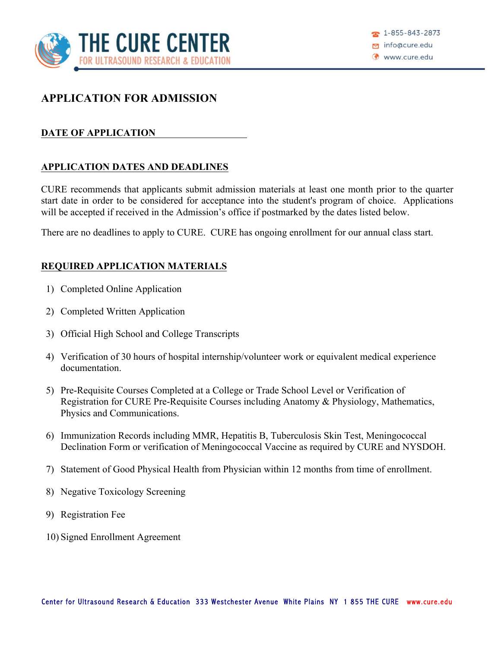

### **APPLICATION FOR ADMISSION**

#### **DATE OF APPLICATION**

#### **APPLICATION DATES AND DEADLINES**

CURE recommends that applicants submit admission materials at least one month prior to the quarter start date in order to be considered for acceptance into the student's program of choice. Applications will be accepted if received in the Admission's office if postmarked by the dates listed below.

There are no deadlines to apply to CURE. CURE has ongoing enrollment for our annual class start.

#### **REQUIRED APPLICATION MATERIALS**

- 1) Completed Online Application
- 2) Completed Written Application
- 3) Official High School and College Transcripts
- 4) Verification of 30 hours of hospital internship/volunteer work or equivalent medical experience documentation.
- 5) Pre-Requisite Courses Completed at a College or Trade School Level or Verification of Registration for CURE Pre-Requisite Courses including Anatomy & Physiology, Mathematics, Physics and Communications.
- 6) Immunization Records including MMR, Hepatitis B, Tuberculosis Skin Test, Meningococcal Declination Form or verification of Meningococcal Vaccine as required by CURE and NYSDOH.
- 7) Statement of Good Physical Health from Physician within 12 months from time of enrollment.
- 8) Negative Toxicology Screening
- 9) Registration Fee
- 10) Signed Enrollment Agreement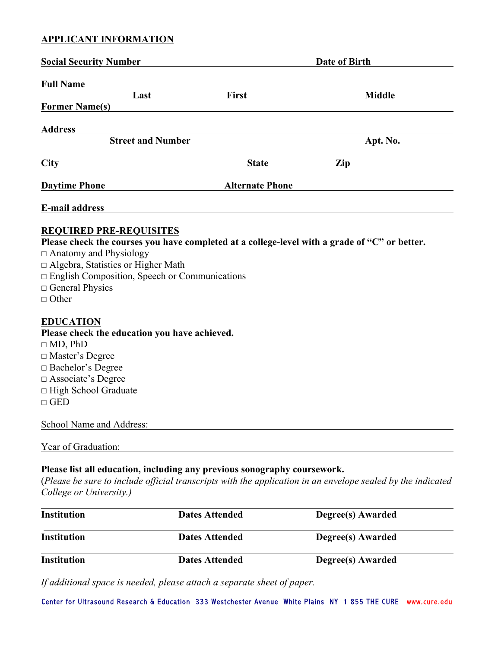#### **APPLICANT INFORMATION**

| <b>Social Security Number</b>                                                                                                                                                                                                                                                                              |                        | Date of Birth |
|------------------------------------------------------------------------------------------------------------------------------------------------------------------------------------------------------------------------------------------------------------------------------------------------------------|------------------------|---------------|
| <b>Full Name</b>                                                                                                                                                                                                                                                                                           |                        |               |
| Last                                                                                                                                                                                                                                                                                                       | First                  | <b>Middle</b> |
| <b>Former Name(s)</b>                                                                                                                                                                                                                                                                                      |                        |               |
| <b>Address</b>                                                                                                                                                                                                                                                                                             |                        |               |
| <b>Street and Number</b>                                                                                                                                                                                                                                                                                   |                        | Apt. No.      |
| City                                                                                                                                                                                                                                                                                                       | <b>State</b>           | Zip           |
| <b>Daytime Phone</b><br><u> 1990 - Johann Barbara, martin a</u>                                                                                                                                                                                                                                            | <b>Alternate Phone</b> |               |
| E-mail address                                                                                                                                                                                                                                                                                             |                        |               |
| <b>REQUIRED PRE-REQUISITES</b><br>Please check the courses you have completed at a college-level with a grade of "C" or better.<br>□ Anatomy and Physiology<br>$\Box$ Algebra, Statistics or Higher Math<br>$\Box$ English Composition, Speech or Communications<br>$\Box$ General Physics<br>$\Box$ Other |                        |               |
| <b>EDUCATION</b><br>Please check the education you have achieved.<br>$\Box$ MD, PhD<br>□ Master's Degree<br>□ Bachelor's Degree<br>$\square$ Associate's Degree<br>□ High School Graduate<br>$\Box$ GED                                                                                                    |                        |               |
| School Name and Address:                                                                                                                                                                                                                                                                                   |                        |               |
| Year of Graduation:                                                                                                                                                                                                                                                                                        |                        |               |
| Please list all education, including any previous sonography coursework.                                                                                                                                                                                                                                   |                        |               |

(*Please be sure to include official transcripts with the application in an envelope sealed by the indicated College or University.)*

| Institution | <b>Dates Attended</b> | Degree(s) Awarded |
|-------------|-----------------------|-------------------|
| Institution | <b>Dates Attended</b> | Degree(s) Awarded |
| Institution | <b>Dates Attended</b> | Degree(s) Awarded |

*If additional space is needed, please attach a separate sheet of paper.* 

Center for Ultrasound Research & Education 333 Westchester Avenue White Plains NY 1 855 THE CURE www.cure.edu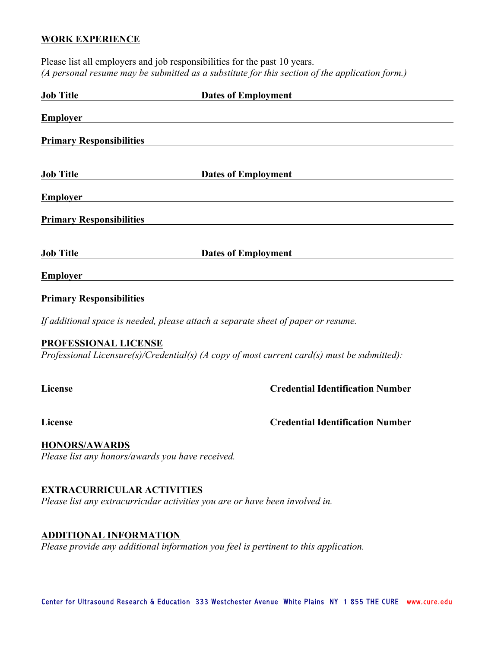#### **WORK EXPERIENCE**

| Please list all employers and job responsibilities for the past 10 years.                      |
|------------------------------------------------------------------------------------------------|
| (A personal resume may be submitted as a substitute for this section of the application form.) |

| <b>Job Title</b>                | <b>Dates of Employment</b>                                                                  |
|---------------------------------|---------------------------------------------------------------------------------------------|
| <b>Employer</b>                 |                                                                                             |
| <b>Primary Responsibilities</b> |                                                                                             |
| <b>Job Title</b>                | <b>Dates of Employment</b>                                                                  |
| <b>Employer</b>                 |                                                                                             |
| <b>Primary Responsibilities</b> |                                                                                             |
| <b>Job Title</b>                | <b>Dates of Employment</b>                                                                  |
| <b>Employer</b>                 |                                                                                             |
| <b>Primary Responsibilities</b> |                                                                                             |
|                                 | If additional space is needed, please attach a separate sheet of paper or resume.           |
| PROFESSIONAL LICENSE            | Professional Licensure(s)/Credential(s) (A copy of most current card(s) must be submitted): |
| <b>License</b>                  | <b>Credential Identification Number</b>                                                     |
| License                         | <b>Credential Identification Number</b>                                                     |

**HONORS/AWARDS** 

*Please list any honors/awards you have received.* 

#### **EXTRACURRICULAR ACTIVITIES**

*Please list any extracurricular activities you are or have been involved in.* 

#### **ADDITIONAL INFORMATION**

*Please provide any additional information you feel is pertinent to this application.*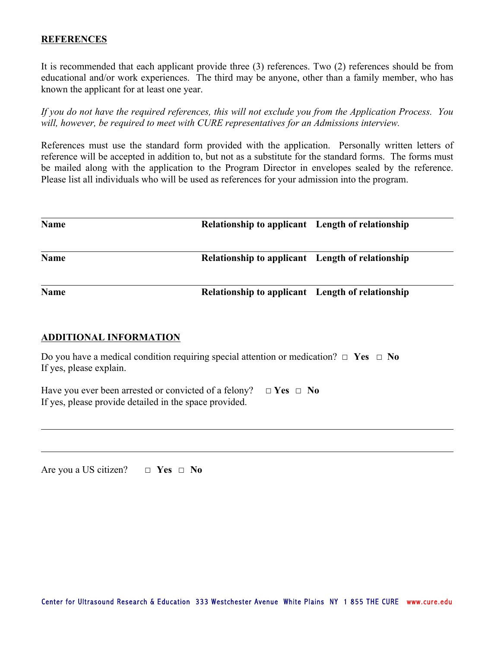#### **REFERENCES**

It is recommended that each applicant provide three (3) references. Two (2) references should be from educational and/or work experiences. The third may be anyone, other than a family member, who has known the applicant for at least one year.

*If you do not have the required references, this will not exclude you from the Application Process. You will, however, be required to meet with CURE representatives for an Admissions interview.* 

References must use the standard form provided with the application. Personally written letters of reference will be accepted in addition to, but not as a substitute for the standard forms. The forms must be mailed along with the application to the Program Director in envelopes sealed by the reference. Please list all individuals who will be used as references for your admission into the program.

| <b>Name</b> | Relationship to applicant Length of relationship |  |
|-------------|--------------------------------------------------|--|
| <b>Name</b> | Relationship to applicant Length of relationship |  |
| <b>Name</b> | Relationship to applicant Length of relationship |  |

#### **ADDITIONAL INFORMATION**

| Do you have a medical condition requiring special attention or medication? $\Box$ Yes $\Box$ No |  |
|-------------------------------------------------------------------------------------------------|--|
| If yes, please explain.                                                                         |  |

Have you ever been arrested or convicted of a felony? ☐ **Yes** ☐ **No** If yes, please provide detailed in the space provided.

Are you a US citizen? ☐ **Yes** ☐ **No**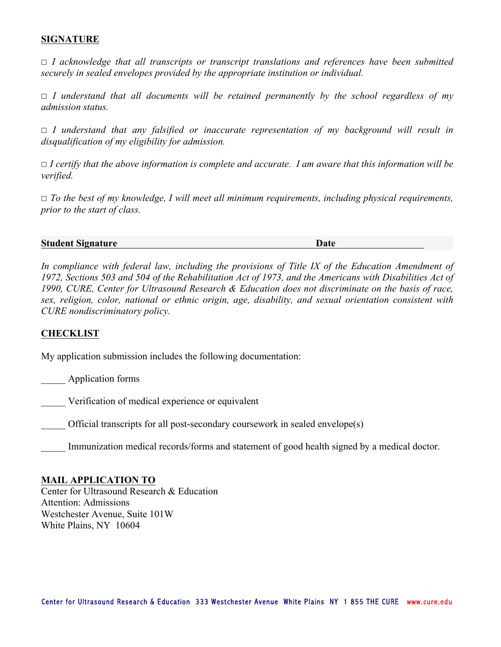#### **SIGNATURE**

☐ *I acknowledge that all transcripts or transcript translations and references have been submitted securely in sealed envelopes provided by the appropriate institution or individual.*

☐ *I understand that all documents will be retained permanently by the school regardless of my admission status.*

☐ *I understand that any falsified or inaccurate representation of my background will result in disqualification of my eligibility for admission.*

☐ *I certify that the above information is complete and accurate. I am aware that this information will be verified.*

☐ *To the best of my knowledge, I will meet all minimum requirements, including physical requirements, prior to the start of class.*

**Student Signature Date**

*In compliance with federal law, including the provisions of Title IX of the Education Amendment of 1972, Sections 503 and 504 of the Rehabilitation Act of 1973, and the Americans with Disabilities Act of 1990, CURE, Center for Ultrasound Research & Education does not discriminate on the basis of race, sex, religion, color, national or ethnic origin, age, disability, and sexual orientation consistent with CURE nondiscriminatory policy.* 

#### **CHECKLIST**

My application submission includes the following documentation:

\_\_\_\_\_ Application forms

\_\_\_\_\_ Verification of medical experience or equivalent

\_\_\_\_\_ Official transcripts for all post-secondary coursework in sealed envelope(s)

Immunization medical records/forms and statement of good health signed by a medical doctor.

#### **MAIL APPLICATION TO**

Center for Ultrasound Research & Education Attention: Admissions Westchester Avenue, Suite 101W White Plains, NY 10604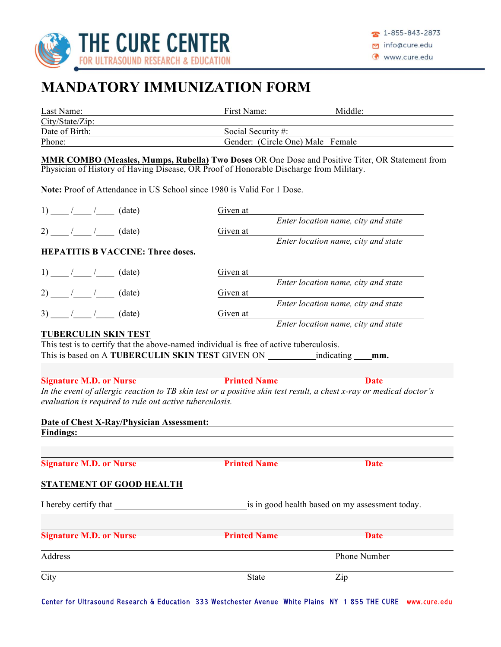

# **MANDATORY IMMUNIZATION FORM**

| Last Name:                                                                                                                                  | First Name:                      | Middle:                                                                                         |  |
|---------------------------------------------------------------------------------------------------------------------------------------------|----------------------------------|-------------------------------------------------------------------------------------------------|--|
| City/State/Zip:                                                                                                                             |                                  |                                                                                                 |  |
| Date of Birth:                                                                                                                              | Social Security #:               |                                                                                                 |  |
| Phone:                                                                                                                                      | Gender: (Circle One) Male Female |                                                                                                 |  |
| Physician of History of Having Disease, OR Proof of Honorable Discharge from Military.                                                      |                                  | MMR COMBO (Measles, Mumps, Rubella) Two Doses OR One Dose and Positive Titer, OR Statement from |  |
| Note: Proof of Attendance in US School since 1980 is Valid For 1 Dose.                                                                      |                                  |                                                                                                 |  |
| 1) $/$ $/$ $(date)$                                                                                                                         | Given at                         |                                                                                                 |  |
| 2) $/$ $/$ $(date)$                                                                                                                         | Given at                         | Enter location name, city and state                                                             |  |
| <b>HEPATITIS B VACCINE: Three doses.</b>                                                                                                    |                                  | Enter location name, city and state                                                             |  |
|                                                                                                                                             |                                  |                                                                                                 |  |
|                                                                                                                                             | Given at                         |                                                                                                 |  |
|                                                                                                                                             | Given at                         | Enter location name, city and state                                                             |  |
|                                                                                                                                             |                                  | Enter location name, city and state                                                             |  |
| $3)$ / / (date)                                                                                                                             | Given at                         | Enter location name, city and state                                                             |  |
| <b>TUBERCULIN SKIN TEST</b>                                                                                                                 |                                  |                                                                                                 |  |
| This test is to certify that the above-named individual is free of active tuberculosis.<br>This is based on A TUBERCULIN SKIN TEST GIVEN ON |                                  | indicating<br>mm.                                                                               |  |
| <b>Signature M.D. or Nurse</b>                                                                                                              | <b>Printed Name</b>              | <b>Date</b>                                                                                     |  |
| In the event of allergic reaction to TB skin test or a positive skin test result, a chest x-ray or medical doctor's                         |                                  |                                                                                                 |  |
| evaluation is required to rule out active tuberculosis.                                                                                     |                                  |                                                                                                 |  |
| Date of Chest X-Ray/Physician Assessment:                                                                                                   |                                  |                                                                                                 |  |
| <b>Findings:</b>                                                                                                                            |                                  |                                                                                                 |  |
|                                                                                                                                             |                                  |                                                                                                 |  |
| <b>Signature M.D. or Nurse</b>                                                                                                              | <b>Printed Name</b>              | <b>Date</b>                                                                                     |  |
| <b>STATEMENT OF GOOD HEALTH</b>                                                                                                             |                                  |                                                                                                 |  |
| I hereby certify that                                                                                                                       |                                  | is in good health based on my assessment today.                                                 |  |
|                                                                                                                                             |                                  |                                                                                                 |  |
| <b>Signature M.D. or Nurse</b>                                                                                                              | <b>Printed Name</b>              | <b>Date</b>                                                                                     |  |
| Address                                                                                                                                     |                                  | Phone Number                                                                                    |  |
| City                                                                                                                                        | <b>State</b>                     | Zip                                                                                             |  |

Center for Ultrasound Research & Education 333 Westchester Avenue White Plains NY 1 855 THE CURE www.cure.edu